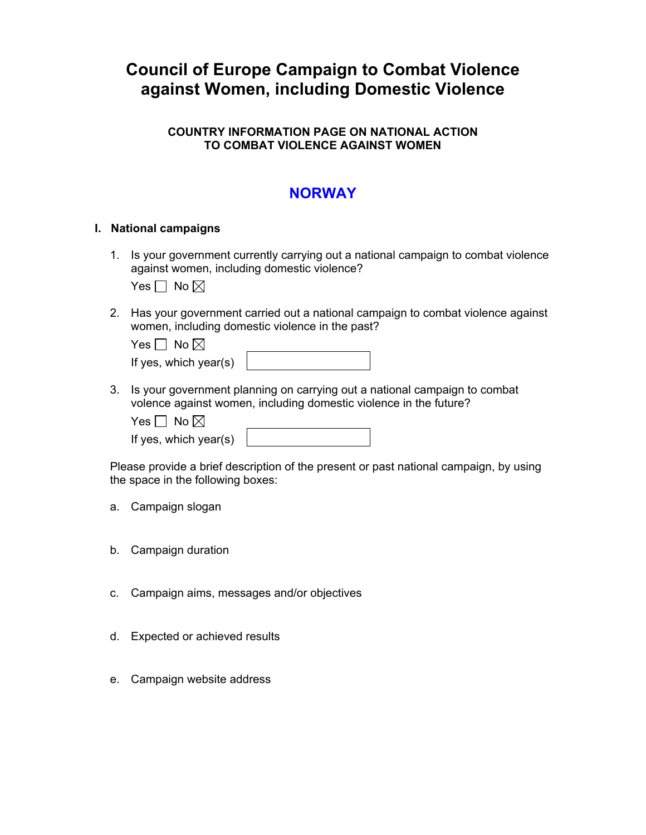# **Council of Europe Campaign to Combat Violence against Women, including Domestic Violence**

## **COUNTRY INFORMATION PAGE ON NATIONAL ACTION TO COMBAT VIOLENCE AGAINST WOMEN**

# **NORWAY**

### **I. National campaigns**

1. Is your government currently carrying out a national campaign to combat violence against women, including domestic violence?

Yes  $\Box$  No  $\boxtimes$ 

2. Has your government carried out a national campaign to combat violence against women, including domestic violence in the past?

| Yes $\Box$ No $\boxtimes$ |  |
|---------------------------|--|
| If yes, which year(s)     |  |

3. Is your government planning on carrying out a national campaign to combat volence against women, including domestic violence in the future?

Yes  $\Box$  No  $\boxtimes$ 

|  | If yes, which year(s) |
|--|-----------------------|
|  |                       |

Please provide a brief description of the present or past national campaign, by using the space in the following boxes:

- a. Campaign slogan
- b. Campaign duration
- c. Campaign aims, messages and/or objectives
- d. Expected or achieved results
- e. Campaign website address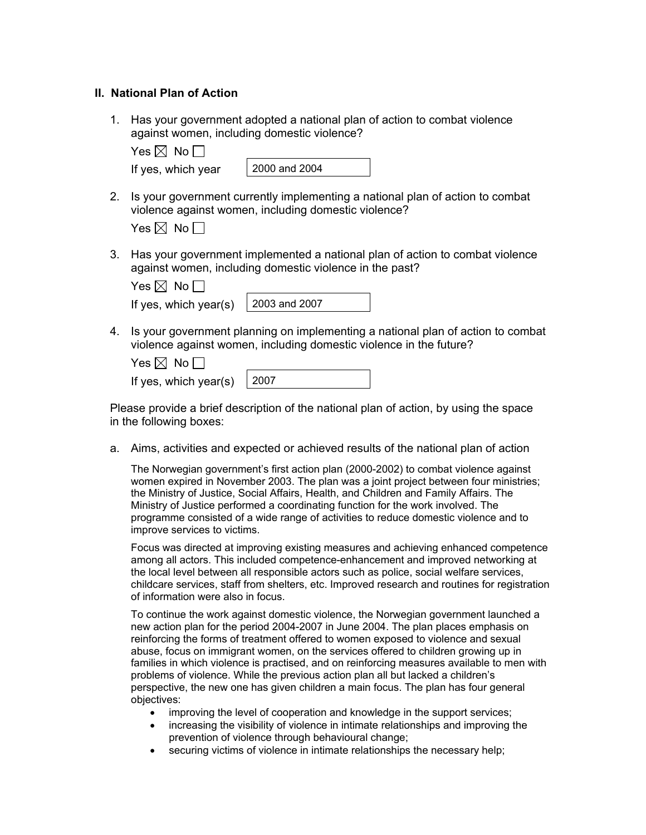### **II. National Plan of Action**

1. Has your government adopted a national plan of action to combat violence against women, including domestic violence?

| If yes, which year | $\vert$ 2000 and 2004 |
|--------------------|-----------------------|
|                    |                       |

2. Is your government currently implementing a national plan of action to combat violence against women, including domestic violence?

| Yes $\boxtimes$ |  | No. |  |
|-----------------|--|-----|--|
|-----------------|--|-----|--|

3. Has your government implemented a national plan of action to combat violence against women, including domestic violence in the past?

| es ⊠l | N٥ |
|-------|----|
|       |    |

| If yes, which year(s) | 2003 and 2007 |
|-----------------------|---------------|
|                       |               |

4. Is your government planning on implementing a national plan of action to combat violence against women, including domestic violence in the future?

| Yes $\boxtimes$ No $\Box$         |  |
|-----------------------------------|--|
| If yes, which year(s) $\int$ 2007 |  |

Please provide a brief description of the national plan of action, by using the space in the following boxes:

a. Aims, activities and expected or achieved results of the national plan of action

The Norwegian government's first action plan (2000-2002) to combat violence against women expired in November 2003. The plan was a joint project between four ministries; the Ministry of Justice, Social Affairs, Health, and Children and Family Affairs. The Ministry of Justice performed a coordinating function for the work involved. The programme consisted of a wide range of activities to reduce domestic violence and to improve services to victims.

Focus was directed at improving existing measures and achieving enhanced competence among all actors. This included competence-enhancement and improved networking at the local level between all responsible actors such as police, social welfare services, childcare services, staff from shelters, etc. Improved research and routines for registration of information were also in focus.

To continue the work against domestic violence, the Norwegian government launched a new action plan for the period 2004-2007 in June 2004. The plan places emphasis on reinforcing the forms of treatment offered to women exposed to violence and sexual abuse, focus on immigrant women, on the services offered to children growing up in families in which violence is practised, and on reinforcing measures available to men with problems of violence. While the previous action plan all but lacked a children's perspective, the new one has given children a main focus. The plan has four general objectives:

- improving the level of cooperation and knowledge in the support services;
- increasing the visibility of violence in intimate relationships and improving the prevention of violence through behavioural change;
- securing victims of violence in intimate relationships the necessary help;